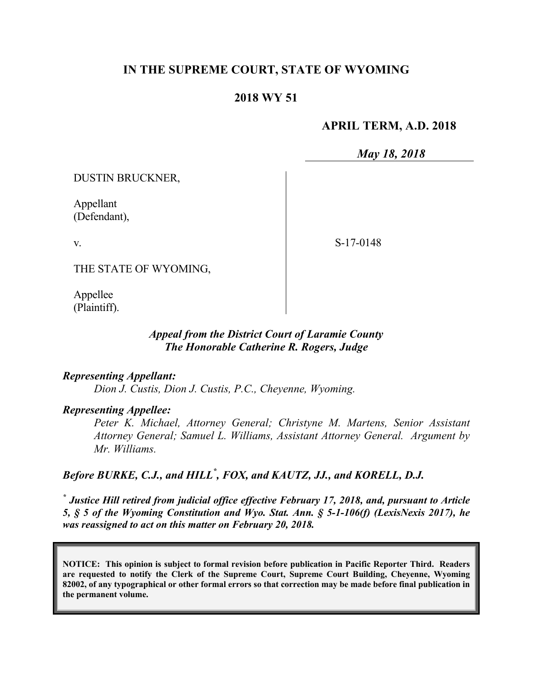## **IN THE SUPREME COURT, STATE OF WYOMING**

#### **2018 WY 51**

#### **APRIL TERM, A.D. 2018**

*May 18, 2018*

DUSTIN BRUCKNER,

Appellant (Defendant),

v.

S-17-0148

THE STATE OF WYOMING,

Appellee (Plaintiff).

#### *Appeal from the District Court of Laramie County The Honorable Catherine R. Rogers, Judge*

#### *Representing Appellant:*

*Dion J. Custis, Dion J. Custis, P.C., Cheyenne, Wyoming.*

### *Representing Appellee:*

*Peter K. Michael, Attorney General; Christyne M. Martens, Senior Assistant Attorney General; Samuel L. Williams, Assistant Attorney General. Argument by Mr. Williams.*

# *Before BURKE, C.J., and HILL\* , FOX, and KAUTZ, JJ., and KORELL, D.J.*

*\* Justice Hill retired from judicial office effective February 17, 2018, and, pursuant to Article 5, § 5 of the Wyoming Constitution and Wyo. Stat. Ann. § 5-1-106(f) (LexisNexis 2017), he was reassigned to act on this matter on February 20, 2018.*

**NOTICE: This opinion is subject to formal revision before publication in Pacific Reporter Third. Readers are requested to notify the Clerk of the Supreme Court, Supreme Court Building, Cheyenne, Wyoming 82002, of any typographical or other formal errors so that correction may be made before final publication in the permanent volume.**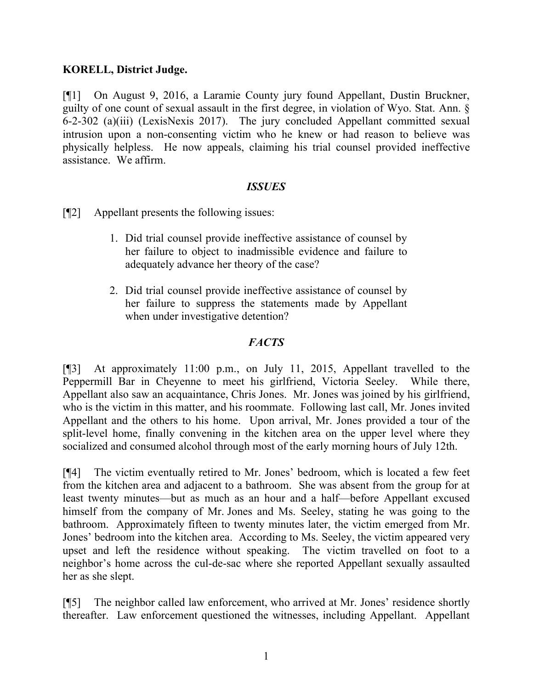## **KORELL, District Judge.**

[¶1] On August 9, 2016, a Laramie County jury found Appellant, Dustin Bruckner, guilty of one count of sexual assault in the first degree, in violation of Wyo. Stat. Ann. § 6-2-302 (a)(iii) (LexisNexis 2017). The jury concluded Appellant committed sexual intrusion upon a non-consenting victim who he knew or had reason to believe was physically helpless. He now appeals, claiming his trial counsel provided ineffective assistance. We affirm.

## *ISSUES*

[¶2] Appellant presents the following issues:

- 1. Did trial counsel provide ineffective assistance of counsel by her failure to object to inadmissible evidence and failure to adequately advance her theory of the case?
- 2. Did trial counsel provide ineffective assistance of counsel by her failure to suppress the statements made by Appellant when under investigative detention?

## *FACTS*

[¶3] At approximately 11:00 p.m., on July 11, 2015, Appellant travelled to the Peppermill Bar in Cheyenne to meet his girlfriend, Victoria Seeley. While there, Appellant also saw an acquaintance, Chris Jones. Mr. Jones was joined by his girlfriend, who is the victim in this matter, and his roommate. Following last call, Mr. Jones invited Appellant and the others to his home. Upon arrival, Mr. Jones provided a tour of the split-level home, finally convening in the kitchen area on the upper level where they socialized and consumed alcohol through most of the early morning hours of July 12th.

[¶4] The victim eventually retired to Mr. Jones' bedroom, which is located a few feet from the kitchen area and adjacent to a bathroom. She was absent from the group for at least twenty minutes—but as much as an hour and a half—before Appellant excused himself from the company of Mr. Jones and Ms. Seeley, stating he was going to the bathroom. Approximately fifteen to twenty minutes later, the victim emerged from Mr. Jones' bedroom into the kitchen area. According to Ms. Seeley, the victim appeared very upset and left the residence without speaking. The victim travelled on foot to a neighbor's home across the cul-de-sac where she reported Appellant sexually assaulted her as she slept.

[¶5] The neighbor called law enforcement, who arrived at Mr. Jones' residence shortly thereafter. Law enforcement questioned the witnesses, including Appellant. Appellant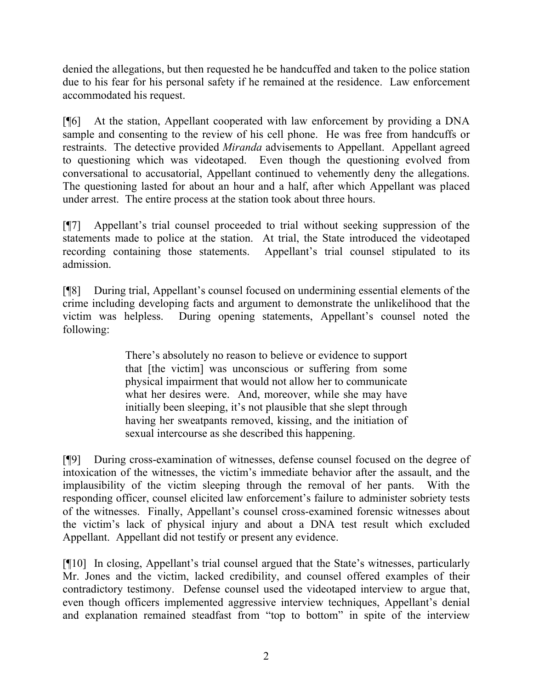denied the allegations, but then requested he be handcuffed and taken to the police station due to his fear for his personal safety if he remained at the residence. Law enforcement accommodated his request.

[¶6] At the station, Appellant cooperated with law enforcement by providing a DNA sample and consenting to the review of his cell phone. He was free from handcuffs or restraints. The detective provided *Miranda* advisements to Appellant. Appellant agreed to questioning which was videotaped. Even though the questioning evolved from conversational to accusatorial, Appellant continued to vehemently deny the allegations. The questioning lasted for about an hour and a half, after which Appellant was placed under arrest. The entire process at the station took about three hours.

[¶7] Appellant's trial counsel proceeded to trial without seeking suppression of the statements made to police at the station. At trial, the State introduced the videotaped recording containing those statements. Appellant's trial counsel stipulated to its admission.

[¶8] During trial, Appellant's counsel focused on undermining essential elements of the crime including developing facts and argument to demonstrate the unlikelihood that the victim was helpless. During opening statements, Appellant's counsel noted the following:

> There's absolutely no reason to believe or evidence to support that [the victim] was unconscious or suffering from some physical impairment that would not allow her to communicate what her desires were. And, moreover, while she may have initially been sleeping, it's not plausible that she slept through having her sweatpants removed, kissing, and the initiation of sexual intercourse as she described this happening.

[¶9] During cross-examination of witnesses, defense counsel focused on the degree of intoxication of the witnesses, the victim's immediate behavior after the assault, and the implausibility of the victim sleeping through the removal of her pants. With the responding officer, counsel elicited law enforcement's failure to administer sobriety tests of the witnesses. Finally, Appellant's counsel cross-examined forensic witnesses about the victim's lack of physical injury and about a DNA test result which excluded Appellant. Appellant did not testify or present any evidence.

[¶10] In closing, Appellant's trial counsel argued that the State's witnesses, particularly Mr. Jones and the victim, lacked credibility, and counsel offered examples of their contradictory testimony. Defense counsel used the videotaped interview to argue that, even though officers implemented aggressive interview techniques, Appellant's denial and explanation remained steadfast from "top to bottom" in spite of the interview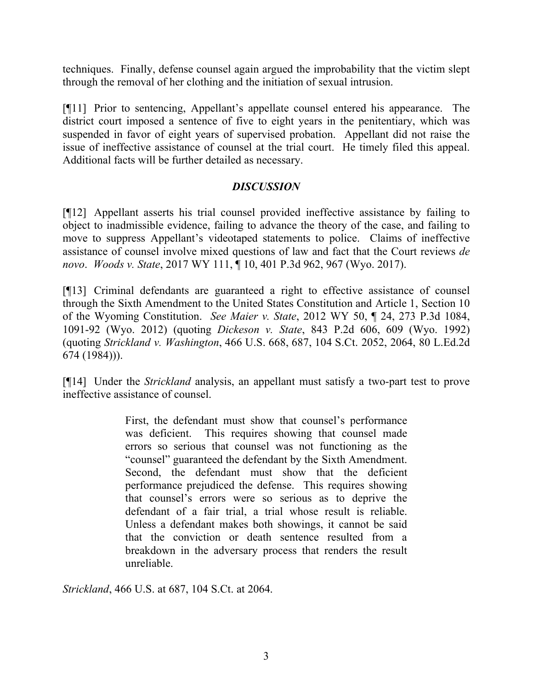techniques. Finally, defense counsel again argued the improbability that the victim slept through the removal of her clothing and the initiation of sexual intrusion.

[¶11] Prior to sentencing, Appellant's appellate counsel entered his appearance. The district court imposed a sentence of five to eight years in the penitentiary, which was suspended in favor of eight years of supervised probation. Appellant did not raise the issue of ineffective assistance of counsel at the trial court. He timely filed this appeal. Additional facts will be further detailed as necessary.

#### *DISCUSSION*

[¶12] Appellant asserts his trial counsel provided ineffective assistance by failing to object to inadmissible evidence, failing to advance the theory of the case, and failing to move to suppress Appellant's videotaped statements to police. Claims of ineffective assistance of counsel involve mixed questions of law and fact that the Court reviews *de novo*. *Woods v. State*, 2017 WY 111, ¶ 10, 401 P.3d 962, 967 (Wyo. 2017).

[¶13] Criminal defendants are guaranteed a right to effective assistance of counsel through the Sixth Amendment to the United States Constitution and Article 1, Section 10 of the Wyoming Constitution. *See Maier v. State*, 2012 WY 50, ¶ 24, 273 P.3d 1084, 1091-92 (Wyo. 2012) (quoting *Dickeson v. State*, 843 P.2d 606, 609 (Wyo. 1992) (quoting *Strickland v. Washington*, 466 U.S. 668, 687, 104 S.Ct. 2052, 2064, 80 L.Ed.2d 674 (1984))).

[¶14] Under the *Strickland* analysis, an appellant must satisfy a two-part test to prove ineffective assistance of counsel.

> First, the defendant must show that counsel's performance was deficient. This requires showing that counsel made errors so serious that counsel was not functioning as the "counsel" guaranteed the defendant by the Sixth Amendment. Second, the defendant must show that the deficient performance prejudiced the defense. This requires showing that counsel's errors were so serious as to deprive the defendant of a fair trial, a trial whose result is reliable. Unless a defendant makes both showings, it cannot be said that the conviction or death sentence resulted from a breakdown in the adversary process that renders the result unreliable.

*Strickland*, 466 U.S. at 687, 104 S.Ct. at 2064.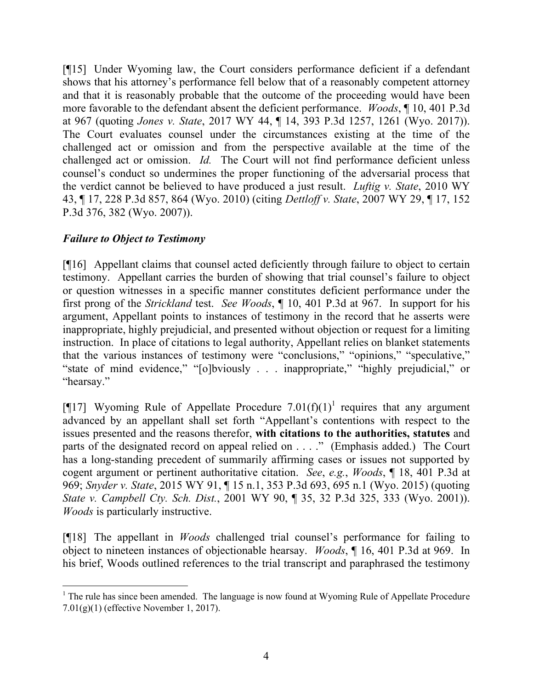[¶15] Under Wyoming law, the Court considers performance deficient if a defendant shows that his attorney's performance fell below that of a reasonably competent attorney and that it is reasonably probable that the outcome of the proceeding would have been more favorable to the defendant absent the deficient performance. *Woods*, ¶ 10, 401 P.3d at 967 (quoting *Jones v. State*, 2017 WY 44, ¶ 14, 393 P.3d 1257, 1261 (Wyo. 2017)). The Court evaluates counsel under the circumstances existing at the time of the challenged act or omission and from the perspective available at the time of the challenged act or omission. *Id.* The Court will not find performance deficient unless counsel's conduct so undermines the proper functioning of the adversarial process that the verdict cannot be believed to have produced a just result. *Luftig v. State*, 2010 WY 43, ¶ 17, 228 P.3d 857, 864 (Wyo. 2010) (citing *Dettloff v. State*, 2007 WY 29, ¶ 17, 152 P.3d 376, 382 (Wyo. 2007)).

# *Failure to Object to Testimony*

[¶16] Appellant claims that counsel acted deficiently through failure to object to certain testimony. Appellant carries the burden of showing that trial counsel's failure to object or question witnesses in a specific manner constitutes deficient performance under the first prong of the *Strickland* test. *See Woods*, ¶ 10, 401 P.3d at 967. In support for his argument, Appellant points to instances of testimony in the record that he asserts were inappropriate, highly prejudicial, and presented without objection or request for a limiting instruction. In place of citations to legal authority, Appellant relies on blanket statements that the various instances of testimony were "conclusions," "opinions," "speculative," "state of mind evidence," "[o]bviously . . . inappropriate," "highly prejudicial," or "hearsay."

[¶17] Wyoming Rule of Appellate Procedure  $7.01(f)(1)^1$  requires that any argument advanced by an appellant shall set forth "Appellant's contentions with respect to the issues presented and the reasons therefor, **with citations to the authorities, statutes** and parts of the designated record on appeal relied on . . . ." (Emphasis added.) The Court has a long-standing precedent of summarily affirming cases or issues not supported by cogent argument or pertinent authoritative citation. *See*, *e.g.*, *Woods*, ¶ 18, 401 P.3d at 969; *Snyder v. State*, 2015 WY 91, ¶ 15 n.1, 353 P.3d 693, 695 n.1 (Wyo. 2015) (quoting *State v. Campbell Cty. Sch. Dist.*, 2001 WY 90, ¶ 35, 32 P.3d 325, 333 (Wyo. 2001)). *Woods* is particularly instructive.

[¶18] The appellant in *Woods* challenged trial counsel's performance for failing to object to nineteen instances of objectionable hearsay. *Woods*, ¶ 16, 401 P.3d at 969. In his brief, Woods outlined references to the trial transcript and paraphrased the testimony

 $\overline{a}$  $1$  The rule has since been amended. The language is now found at Wyoming Rule of Appellate Procedure 7.01(g)(1) (effective November 1, 2017).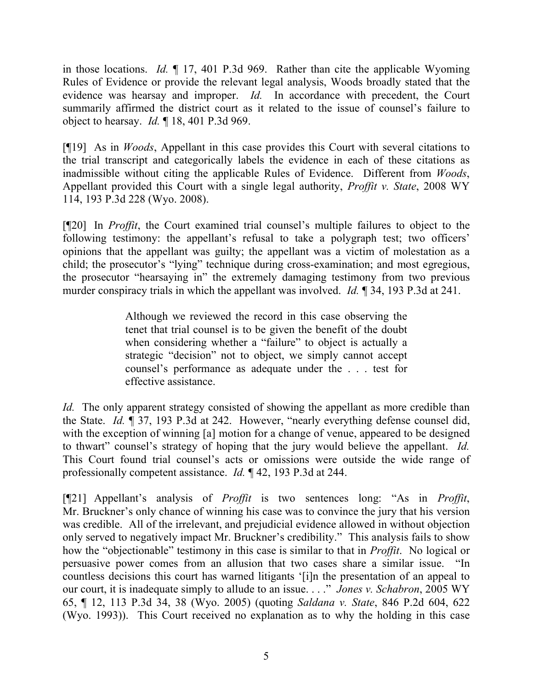in those locations. *Id.* ¶ 17, 401 P.3d 969. Rather than cite the applicable Wyoming Rules of Evidence or provide the relevant legal analysis, Woods broadly stated that the evidence was hearsay and improper. *Id.* In accordance with precedent, the Court summarily affirmed the district court as it related to the issue of counsel's failure to object to hearsay. *Id.* ¶ 18, 401 P.3d 969.

[¶19] As in *Woods*, Appellant in this case provides this Court with several citations to the trial transcript and categorically labels the evidence in each of these citations as inadmissible without citing the applicable Rules of Evidence. Different from *Woods*, Appellant provided this Court with a single legal authority, *Proffit v. State*, 2008 WY 114, 193 P.3d 228 (Wyo. 2008).

[¶20] In *Proffit*, the Court examined trial counsel's multiple failures to object to the following testimony: the appellant's refusal to take a polygraph test; two officers' opinions that the appellant was guilty; the appellant was a victim of molestation as a child; the prosecutor's "lying" technique during cross-examination; and most egregious, the prosecutor "hearsaying in" the extremely damaging testimony from two previous murder conspiracy trials in which the appellant was involved. *Id.* ¶ 34, 193 P.3d at 241.

> Although we reviewed the record in this case observing the tenet that trial counsel is to be given the benefit of the doubt when considering whether a "failure" to object is actually a strategic "decision" not to object, we simply cannot accept counsel's performance as adequate under the . . . test for effective assistance.

*Id.* The only apparent strategy consisted of showing the appellant as more credible than the State. *Id.* ¶ 37, 193 P.3d at 242. However, "nearly everything defense counsel did, with the exception of winning [a] motion for a change of venue, appeared to be designed to thwart" counsel's strategy of hoping that the jury would believe the appellant. *Id.* This Court found trial counsel's acts or omissions were outside the wide range of professionally competent assistance. *Id.* ¶ 42, 193 P.3d at 244.

[¶21] Appellant's analysis of *Proffit* is two sentences long: "As in *Proffit*, Mr. Bruckner's only chance of winning his case was to convince the jury that his version was credible. All of the irrelevant, and prejudicial evidence allowed in without objection only served to negatively impact Mr. Bruckner's credibility." This analysis fails to show how the "objectionable" testimony in this case is similar to that in *Proffit*. No logical or persuasive power comes from an allusion that two cases share a similar issue. "In countless decisions this court has warned litigants '[i]n the presentation of an appeal to our court, it is inadequate simply to allude to an issue. . . ." *Jones v. Schabron*, 2005 WY 65, ¶ 12, 113 P.3d 34, 38 (Wyo. 2005) (quoting *Saldana v. State*, 846 P.2d 604, 622 (Wyo. 1993)). This Court received no explanation as to why the holding in this case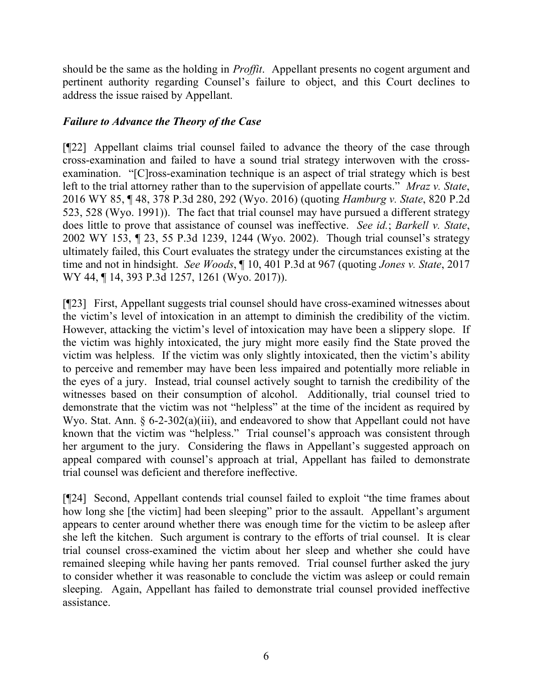should be the same as the holding in *Proffit*. Appellant presents no cogent argument and pertinent authority regarding Counsel's failure to object, and this Court declines to address the issue raised by Appellant.

# *Failure to Advance the Theory of the Case*

[¶22] Appellant claims trial counsel failed to advance the theory of the case through cross-examination and failed to have a sound trial strategy interwoven with the crossexamination. "[C]ross-examination technique is an aspect of trial strategy which is best left to the trial attorney rather than to the supervision of appellate courts." *Mraz v. State*, 2016 WY 85, ¶ 48, 378 P.3d 280, 292 (Wyo. 2016) (quoting *Hamburg v. State*, 820 P.2d 523, 528 (Wyo. 1991)). The fact that trial counsel may have pursued a different strategy does little to prove that assistance of counsel was ineffective. *See id.*; *Barkell v. State*, 2002 WY 153, ¶ 23, 55 P.3d 1239, 1244 (Wyo. 2002). Though trial counsel's strategy ultimately failed, this Court evaluates the strategy under the circumstances existing at the time and not in hindsight. *See Woods*, ¶ 10, 401 P.3d at 967 (quoting *Jones v. State*, 2017 WY 44, ¶ 14, 393 P.3d 1257, 1261 (Wyo. 2017)).

[¶23] First, Appellant suggests trial counsel should have cross-examined witnesses about the victim's level of intoxication in an attempt to diminish the credibility of the victim. However, attacking the victim's level of intoxication may have been a slippery slope. If the victim was highly intoxicated, the jury might more easily find the State proved the victim was helpless. If the victim was only slightly intoxicated, then the victim's ability to perceive and remember may have been less impaired and potentially more reliable in the eyes of a jury. Instead, trial counsel actively sought to tarnish the credibility of the witnesses based on their consumption of alcohol. Additionally, trial counsel tried to demonstrate that the victim was not "helpless" at the time of the incident as required by Wyo. Stat. Ann. § 6-2-302(a)(iii), and endeavored to show that Appellant could not have known that the victim was "helpless." Trial counsel's approach was consistent through her argument to the jury. Considering the flaws in Appellant's suggested approach on appeal compared with counsel's approach at trial, Appellant has failed to demonstrate trial counsel was deficient and therefore ineffective.

[¶24] Second, Appellant contends trial counsel failed to exploit "the time frames about how long she [the victim] had been sleeping" prior to the assault. Appellant's argument appears to center around whether there was enough time for the victim to be asleep after she left the kitchen. Such argument is contrary to the efforts of trial counsel. It is clear trial counsel cross-examined the victim about her sleep and whether she could have remained sleeping while having her pants removed. Trial counsel further asked the jury to consider whether it was reasonable to conclude the victim was asleep or could remain sleeping. Again, Appellant has failed to demonstrate trial counsel provided ineffective assistance.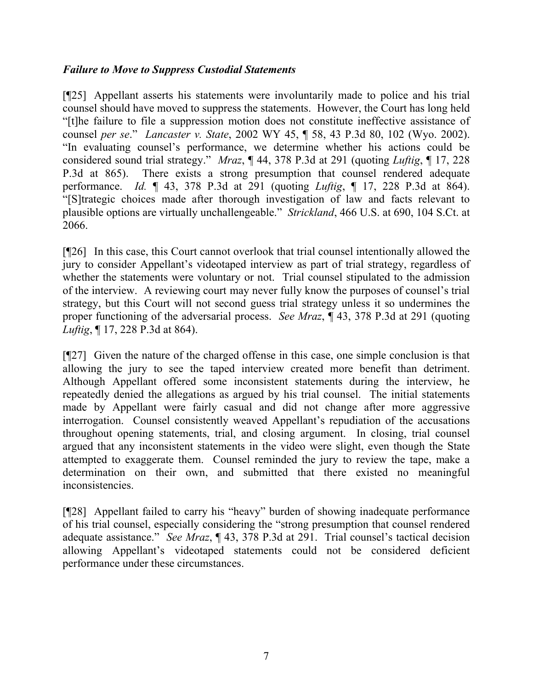## *Failure to Move to Suppress Custodial Statements*

[¶25] Appellant asserts his statements were involuntarily made to police and his trial counsel should have moved to suppress the statements. However, the Court has long held "[t]he failure to file a suppression motion does not constitute ineffective assistance of counsel *per se*." *Lancaster v. State*, 2002 WY 45, ¶ 58, 43 P.3d 80, 102 (Wyo. 2002). "In evaluating counsel's performance, we determine whether his actions could be considered sound trial strategy." *Mraz*, ¶ 44, 378 P.3d at 291 (quoting *Luftig*, ¶ 17, 228 P.3d at 865). There exists a strong presumption that counsel rendered adequate performance. *Id.* ¶ 43, 378 P.3d at 291 (quoting *Luftig*, ¶ 17, 228 P.3d at 864). "[S]trategic choices made after thorough investigation of law and facts relevant to plausible options are virtually unchallengeable." *Strickland*, 466 U.S. at 690, 104 S.Ct. at 2066.

[¶26] In this case, this Court cannot overlook that trial counsel intentionally allowed the jury to consider Appellant's videotaped interview as part of trial strategy, regardless of whether the statements were voluntary or not. Trial counsel stipulated to the admission of the interview. A reviewing court may never fully know the purposes of counsel's trial strategy, but this Court will not second guess trial strategy unless it so undermines the proper functioning of the adversarial process. *See Mraz*, ¶ 43, 378 P.3d at 291 (quoting *Luftig*, ¶ 17, 228 P.3d at 864).

[¶27] Given the nature of the charged offense in this case, one simple conclusion is that allowing the jury to see the taped interview created more benefit than detriment. Although Appellant offered some inconsistent statements during the interview, he repeatedly denied the allegations as argued by his trial counsel. The initial statements made by Appellant were fairly casual and did not change after more aggressive interrogation. Counsel consistently weaved Appellant's repudiation of the accusations throughout opening statements, trial, and closing argument. In closing, trial counsel argued that any inconsistent statements in the video were slight, even though the State attempted to exaggerate them. Counsel reminded the jury to review the tape, make a determination on their own, and submitted that there existed no meaningful inconsistencies.

[¶28] Appellant failed to carry his "heavy" burden of showing inadequate performance of his trial counsel, especially considering the "strong presumption that counsel rendered adequate assistance." *See Mraz*, ¶ 43, 378 P.3d at 291. Trial counsel's tactical decision allowing Appellant's videotaped statements could not be considered deficient performance under these circumstances.